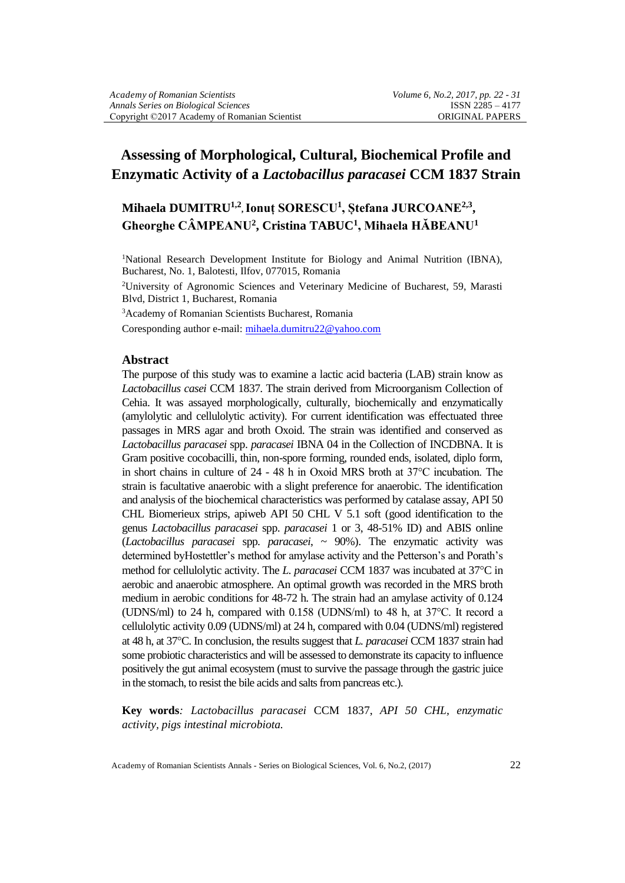# **Assessing of Morphological, Cultural, Biochemical Profile and Enzymatic Activity of a** *Lactobacillus paracasei* **CCM 1837 Strain**

## **Mihaela DUMITRU1,2 , Ionuț SORESCU<sup>1</sup> , Ștefana JURCOANE2,3 , Gheorghe CÂMPEANU<sup>2</sup> , Cristina TABUC<sup>1</sup> , Mihaela HĂBEANU<sup>1</sup>**

<sup>1</sup>National Research Development Institute for Biology and Animal Nutrition (IBNA), Bucharest, No. 1, Balotesti, Ilfov, 077015, Romania

<sup>2</sup>University of Agronomic Sciences and Veterinary Medicine of Bucharest, 59, Marasti Blvd, District 1, Bucharest, Romania

<sup>3</sup>Academy of Romanian Scientists Bucharest, Romania

Coresponding author e-mail[: mihaela.dumitru22@yahoo.com](mailto:mihaela.dumitru22@yahoo.com)

#### **Abstract**

The purpose of this study was to examine a lactic acid bacteria (LAB) strain know as *Lactobacillus casei* CCM 1837. The strain derived from Microorganism Collection of Cehia. It was assayed morphologically, culturally, biochemically and enzymatically (amylolytic and cellulolytic activity). For current identification was effectuated three passages in MRS agar and broth Oxoid. The strain was identified and conserved as *Lactobacillus paracasei* spp. *paracasei* IBNA 04 in the Collection of INCDBNA. It is Gram positive cocobacilli, thin, non-spore forming, rounded ends, isolated, diplo form, in short chains in culture of 24 - 48 h in Oxoid MRS broth at 37°C incubation. The strain is facultative anaerobic with a slight preference for anaerobic. The identification and analysis of the biochemical characteristics was performed by catalase assay, API 50 CHL Biomerieux strips, apiweb API 50 CHL V 5.1 soft (good identification to the genus *Lactobacillus paracasei* spp. *paracasei* 1 or 3, 48-51% ID) and ABIS online (*Lactobacillus paracasei* spp. *paracasei*, ~ 90%). The enzymatic activity was determined byHostettler's method for amylase activity and the Petterson's and Porath's method for cellulolytic activity. The *L. paracasei* CCM 1837 was incubated at 37<sup>o</sup>C in aerobic and anaerobic atmosphere. An optimal growth was recorded in the MRS broth medium in aerobic conditions for 48-72 h. The strain had an amylase activity of 0.124 (UDNS/ml) to 24 h, compared with 0.158 (UDNS/ml) to 48 h, at 37°C. It record a cellulolytic activity 0.09 (UDNS/ml) at 24 h, compared with 0.04 (UDNS/ml) registered at 48 h, at 37C. In conclusion, the results suggest that *L. paracasei* CCM 1837 strain had some probiotic characteristics and will be assessed to demonstrate its capacity to influence positively the gut animal ecosystem (must to survive the passage through the gastric juice in the stomach, to resist the bile acids and salts from pancreas etc.).

**Key words***: Lactobacillus paracasei* CCM 1837, *API 50 CHL, enzymatic activity, pigs intestinal microbiota.*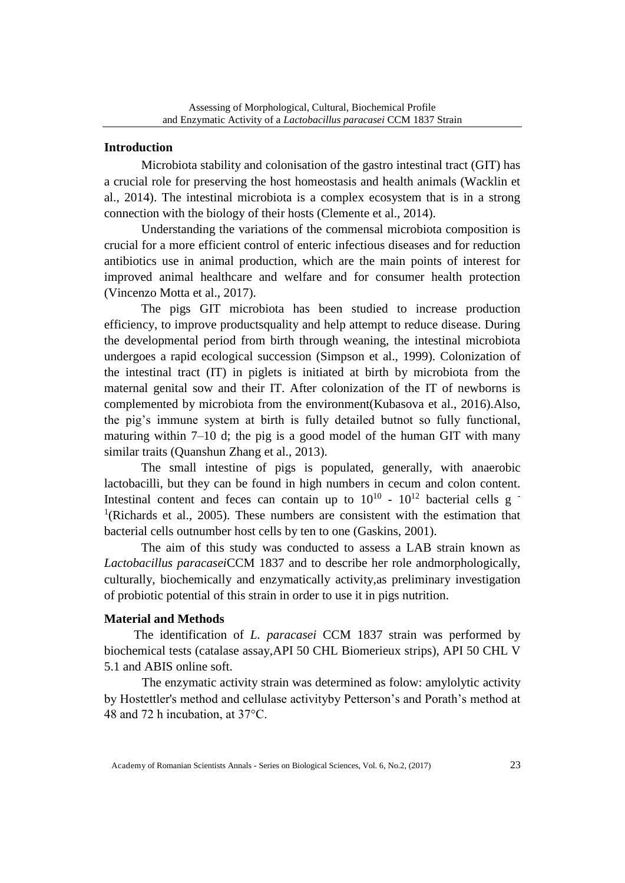### **Introduction**

Microbiota stability and colonisation of the gastro intestinal tract (GIT) has a crucial role for preserving the host homeostasis and health animals (Wacklin et al., 2014). The intestinal microbiota is a complex ecosystem that is in a strong connection with the biology of their hosts (Clemente et al., 2014).

Understanding the variations of the commensal microbiota composition is crucial for a more efficient control of enteric infectious diseases and for reduction antibiotics use in animal production, which are the main points of interest for improved animal healthcare and welfare and for consumer health protection (Vincenzo Motta et al., 2017).

The pigs GIT microbiota has been studied to increase production efficiency, to improve productsquality and help attempt to reduce disease. During the developmental period from birth through weaning, the intestinal microbiota undergoes a rapid ecological succession (Simpson et al., 1999). Colonization of the intestinal tract (IT) in piglets is initiated at birth by microbiota from the maternal genital sow and their IT. After colonization of the IT of newborns is complemented by microbiota from the environment(Kubasova et al., 2016).Also, the pig's immune system at birth is fully detailed butnot so fully functional, maturing within 7–10 d; the pig is a good model of the human GIT with many similar traits (Quanshun Zhang et al., 2013).

The small intestine of pigs is populated, generally, with anaerobic lactobacilli, but they can be found in high numbers in cecum and colon content. Intestinal content and feces can contain up to  $10^{10}$  -  $10^{12}$  bacterial cells g <sup>1</sup>(Richards et al., 2005). These numbers are consistent with the estimation that bacterial cells outnumber host cells by ten to one (Gaskins, 2001).

The aim of this study was conducted to assess a LAB strain known as *Lactobacillus paracasei*CCM 1837 and to describe her role andmorphologically, culturally, biochemically and enzymatically activity,as preliminary investigation of probiotic potential of this strain in order to use it in pigs nutrition.

### **Material and Methods**

The identification of *L. paracasei* CCM 1837 strain was performed by biochemical tests (catalase assay,API 50 CHL Biomerieux strips), API 50 CHL V 5.1 and ABIS online soft.

The enzymatic activity strain was determined as folow: amylolytic activity by Hostettler's method and cellulase activityby Petterson's and Porath's method at 48 and 72 h incubation, at 37°C.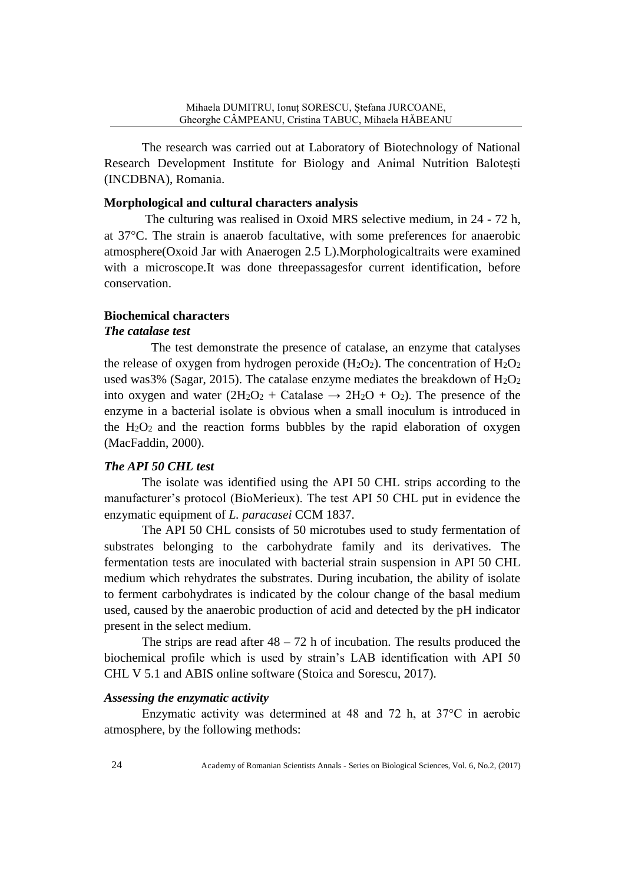The research was carried out at Laboratory of Biotechnology of National Research Development Institute for Biology and Animal Nutrition Balotești (INCDBNA), Romania.

### **Morphological and cultural characters analysis**

 The culturing was realised in Oxoid MRS selective medium, in 24 - 72 h, at 37C. The strain is anaerob facultative, with some preferences for anaerobic atmosphere(Oxoid Jar with Anaerogen 2.5 L).Morphologicaltraits were examined with a microscope.It was done threepassagesfor current identification, before conservation.

### **Biochemical characters**

### *The catalase test*

 The test demonstrate the presence of catalase, an enzyme that catalyses the release of oxygen from hydrogen peroxide  $(H_2O_2)$ . The concentration of  $H_2O_2$ used was3% (Sagar, 2015). The catalase enzyme mediates the breakdown of  $H_2O_2$ into oxygen and water  $(2H_2O_2 + \text{Catalase} \rightarrow 2H_2O + O_2)$ . The presence of the enzyme in a bacterial isolate is obvious when a small inoculum is introduced in the  $H_2O_2$  and the reaction forms bubbles by the rapid elaboration of oxygen (MacFaddin, 2000).

### *The API 50 CHL test*

The isolate was identified using the API 50 CHL strips according to the manufacturer's protocol (BioMerieux). The test API 50 CHL put in evidence the enzymatic equipment of *L. paracasei* CCM 1837.

The API 50 CHL consists of 50 microtubes used to study fermentation of substrates belonging to the carbohydrate family and its derivatives. The fermentation tests are inoculated with bacterial strain suspension in API 50 CHL medium which rehydrates the substrates. During incubation, the ability of isolate to ferment carbohydrates is indicated by the colour change of the basal medium used, caused by the anaerobic production of acid and detected by the pH indicator present in the select medium.

The strips are read after  $48 - 72$  h of incubation. The results produced the biochemical profile which is used by strain's LAB identification with API 50 CHL V 5.1 and ABIS online software (Stoica and Sorescu, 2017).

### *Assessing the enzymatic activity*

Enzymatic activity was determined at 48 and 72 h, at 37°C in aerobic atmosphere, by the following methods: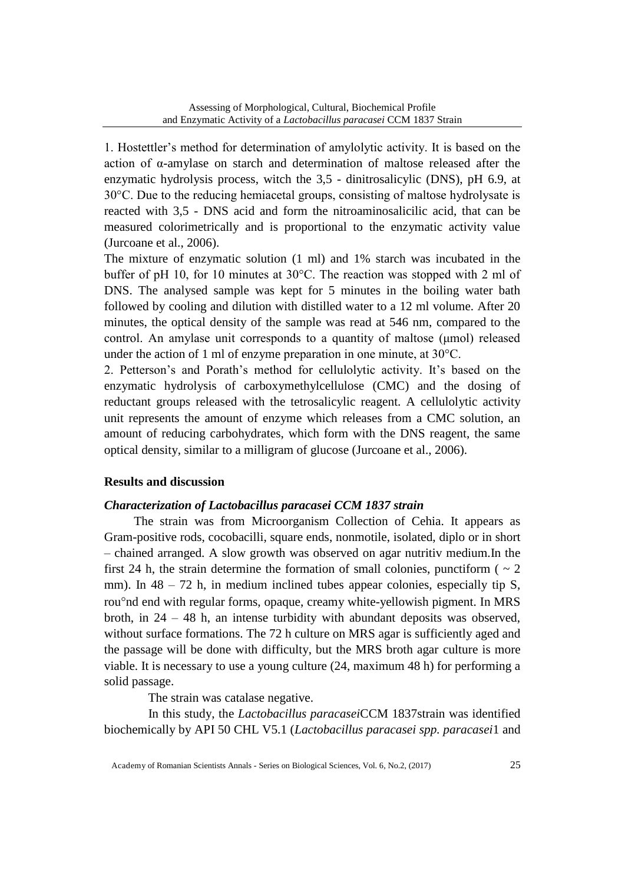1. Hostettler's method for determination of amylolytic activity. It is based on the action of α-amylase on starch and determination of maltose released after the enzymatic hydrolysis process, witch the 3,5 - dinitrosalicylic (DNS), pH 6.9, at 30°C. Due to the reducing hemiacetal groups, consisting of maltose hydrolysate is reacted with 3,5 - DNS acid and form the nitroaminosalicilic acid, that can be measured colorimetrically and is proportional to the enzymatic activity value (Jurcoane et al., 2006).

The mixture of enzymatic solution (1 ml) and 1% starch was incubated in the buffer of pH 10, for 10 minutes at 30°C. The reaction was stopped with 2 ml of DNS. The analysed sample was kept for 5 minutes in the boiling water bath followed by cooling and dilution with distilled water to a 12 ml volume. After 20 minutes, the optical density of the sample was read at 546 nm, compared to the control. An amylase unit corresponds to a quantity of maltose (μmol) released under the action of 1 ml of enzyme preparation in one minute, at 30°C.

2. Petterson's and Porath's method for cellulolytic activity. It's based on the enzymatic hydrolysis of carboxymethylcellulose (CMC) and the dosing of reductant groups released with the tetrosalicylic reagent. A cellulolytic activity unit represents the amount of enzyme which releases from a CMC solution, an amount of reducing carbohydrates, which form with the DNS reagent, the same optical density, similar to a milligram of glucose (Jurcoane et al., 2006).

### **Results and discussion**

### *Characterization of Lactobacillus paracasei CCM 1837 strain*

The strain was from Microorganism Collection of Cehia. It appears as Gram-positive rods, cocobacilli, square ends, nonmotile, isolated, diplo or in short – chained arranged. A slow growth was observed on agar nutritiv medium.In the first 24 h, the strain determine the formation of small colonies, punctiform ( $\sim 2$ ) mm). In  $48 - 72$  h, in medium inclined tubes appear colonies, especially tip S, rou<sup>o</sup>nd end with regular forms, opaque, creamy white-yellowish pigment. In MRS broth, in  $24 - 48$  h, an intense turbidity with abundant deposits was observed, without surface formations. The 72 h culture on MRS agar is sufficiently aged and the passage will be done with difficulty, but the MRS broth agar culture is more viable. It is necessary to use a young culture (24, maximum 48 h) for performing a solid passage.

The strain was catalase negative.

 In this study, the *Lactobacillus paracasei*CCM 1837strain was identified biochemically by API 50 CHL V5.1 (*Lactobacillus paracasei spp. paracasei*1 and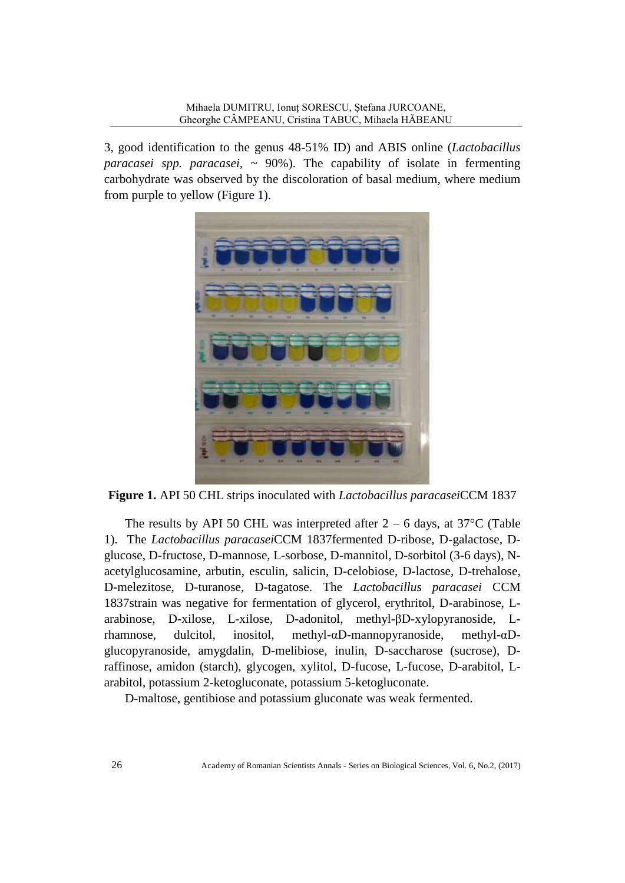3, good identification to the genus 48-51% ID) and ABIS online (*Lactobacillus paracasei spp. paracasei,* ~ 90%). The capability of isolate in fermenting carbohydrate was observed by the discoloration of basal medium, where medium from purple to yellow (Figure 1).



**Figure 1.** API 50 CHL strips inoculated with *Lactobacillus paracasei*CCM 1837

The results by API 50 CHL was interpreted after  $2 - 6$  days, at 37<sup>o</sup>C (Table 1). The *Lactobacillus paracasei*CCM 1837fermented D-ribose, D-galactose, Dglucose, D-fructose, D-mannose, L-sorbose, D-mannitol, D-sorbitol (3-6 days), Nacetylglucosamine, arbutin, esculin, salicin, D-celobiose, D-lactose, D-trehalose, D-melezitose, D-turanose, D-tagatose. The *Lactobacillus paracasei* CCM 1837strain was negative for fermentation of glycerol, erythritol, D-arabinose, Larabinose, D-xilose, L-xilose, D-adonitol, methyl-βD-xylopyranoside, Lrhamnose, dulcitol, inositol, methyl-αD-mannopyranoside, methyl-αDglucopyranoside, amygdalin, D-melibiose, inulin, D-saccharose (sucrose), Draffinose, amidon (starch), glycogen, xylitol, D-fucose, L-fucose, D-arabitol, Larabitol, potassium 2-ketogluconate, potassium 5-ketogluconate.

D-maltose, gentibiose and potassium gluconate was weak fermented.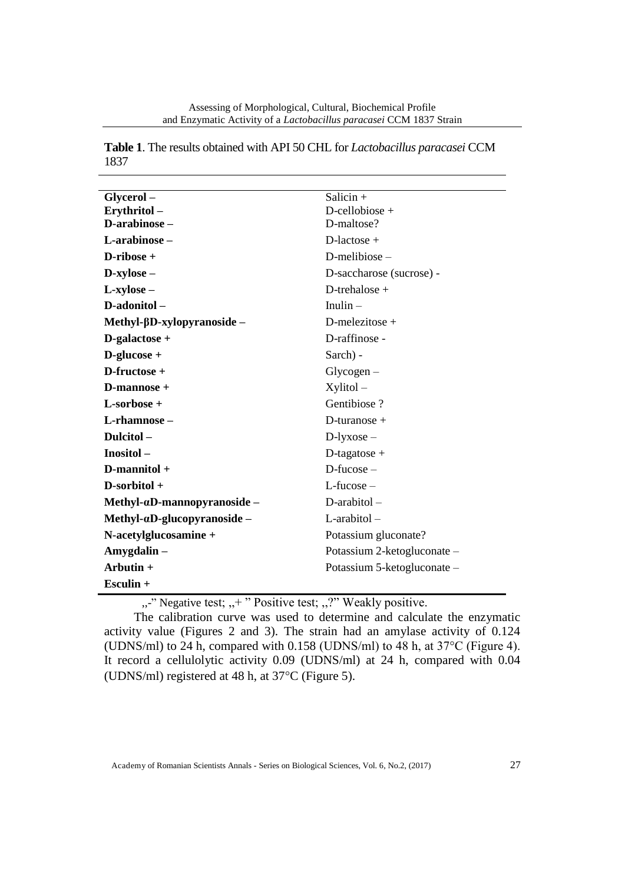| Glycerol-                            | Salicin $+$                 |
|--------------------------------------|-----------------------------|
| Erythritol-                          | $D$ -cellobiose +           |
| D-arabinose-                         | D-maltose?                  |
| L-arabinose-                         | $D$ -lactose +              |
| $D$ -ribose +                        | $D$ -melibiose –            |
| $D$ -xylose –                        | D-saccharose (sucrose) -    |
| $L$ -xylose –                        | D-trehalose +               |
| D-adonitol-                          | Inulin $-$                  |
| Methyl-βD-xylopyranoside –           | D-melezitose +              |
| D-galactose +                        | D-raffinose -               |
| $D$ -glucose +                       | Sarch) -                    |
| D-fructose +                         | $Glycogen-$                 |
| $D$ -mannose +                       | $X$ ylitol $-$              |
| L-sorbose +                          | Gentibiose?                 |
| L-rhamnose –                         | D-turanose $+$              |
| Dulcitol-                            | $D$ -lyxose –               |
| Inositol-                            | D-tagatose +                |
| $D$ -mannitol +                      | $D$ -fucose $-$             |
| D-sorbitol +                         | $L$ -fucose –               |
| $Methyl-\alpha D-manopyrano side -$  | $D$ -arabitol $-$           |
| Methyl- $\alpha$ D-glucopyranoside - | $L$ -arabitol –             |
| N-acetylglucosamine +                | Potassium gluconate?        |
| Amygdalin-                           | Potassium 2-ketogluconate - |
| Arbutin +                            | Potassium 5-ketogluconate – |
| Esculin +                            |                             |

**Table 1**. The results obtained with API 50 CHL for *Lactobacillus paracasei* CCM 1837

,,-" Negative test; ,,+ " Positive test; ,,?" Weakly positive.

The calibration curve was used to determine and calculate the enzymatic activity value (Figures 2 and 3). The strain had an amylase activity of 0.124 (UDNS/ml) to 24 h, compared with 0.158 (UDNS/ml) to 48 h, at 37°C (Figure 4). It record a cellulolytic activity 0.09 (UDNS/ml) at 24 h, compared with 0.04 (UDNS/ml) registered at 48 h, at  $37^{\circ}$ C (Figure 5).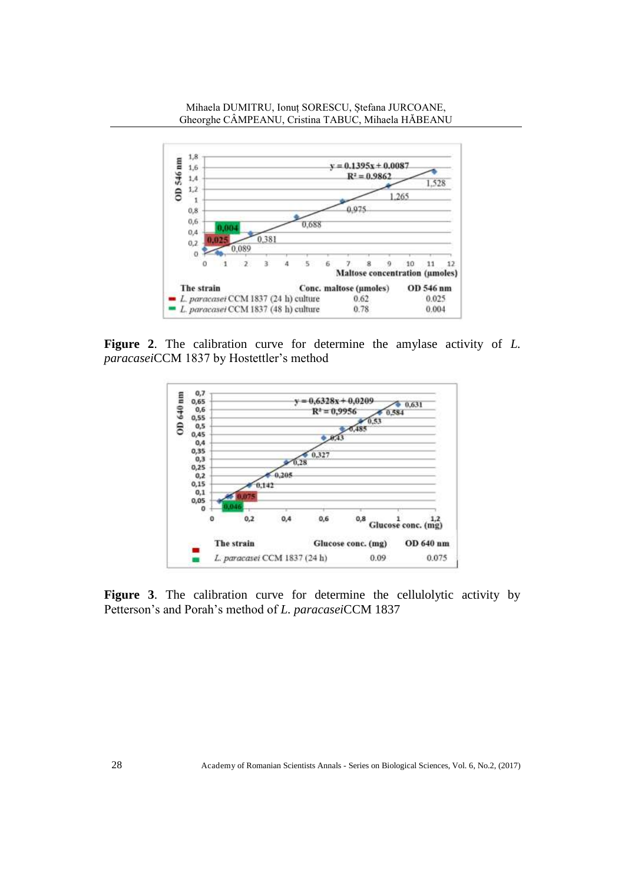

**Figure 2**. The calibration curve for determine the amylase activity of *L. paracasei*CCM 1837 by Hostettler's method



**Figure 3**. The calibration curve for determine the cellulolytic activity by Petterson's and Porah's method of *L. paracasei*CCM 1837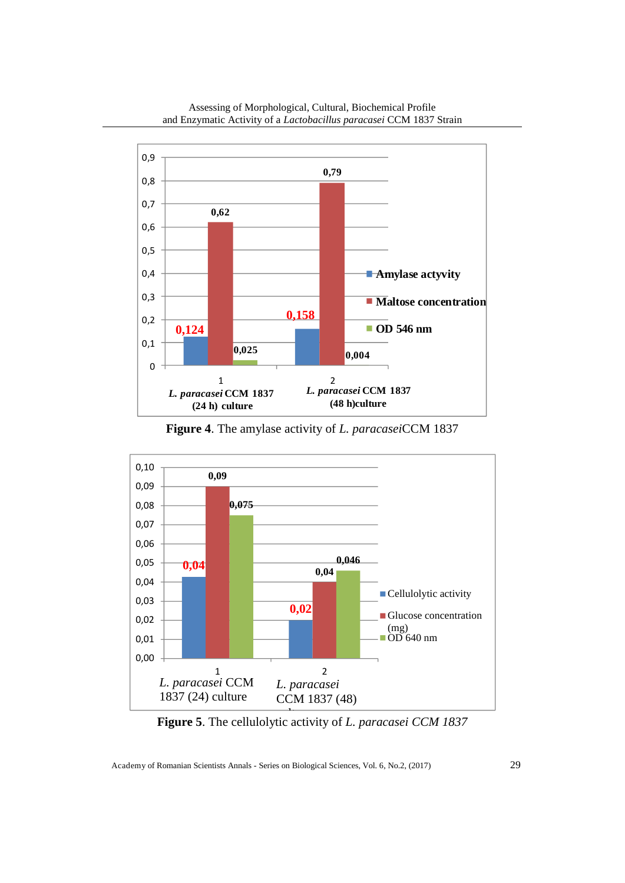

**Figure 4**. The amylase activity of *L. paracasei*CCM 1837

*L. paracasei* **CCM 1837 (48 h)culture**

**0,025 0,004**

**OD 546 nm**

1 2

**0,124**

*L. paracasei* **CCM 1837 (24 h) culture**

0

0,1



**Figure 5**. The cellulolytic activity of *L. paracasei CCM 1837* 

Academy of Romanian Scientists Annals - Series on Biological Sciences, Vol. 6, No.2, (2017) 29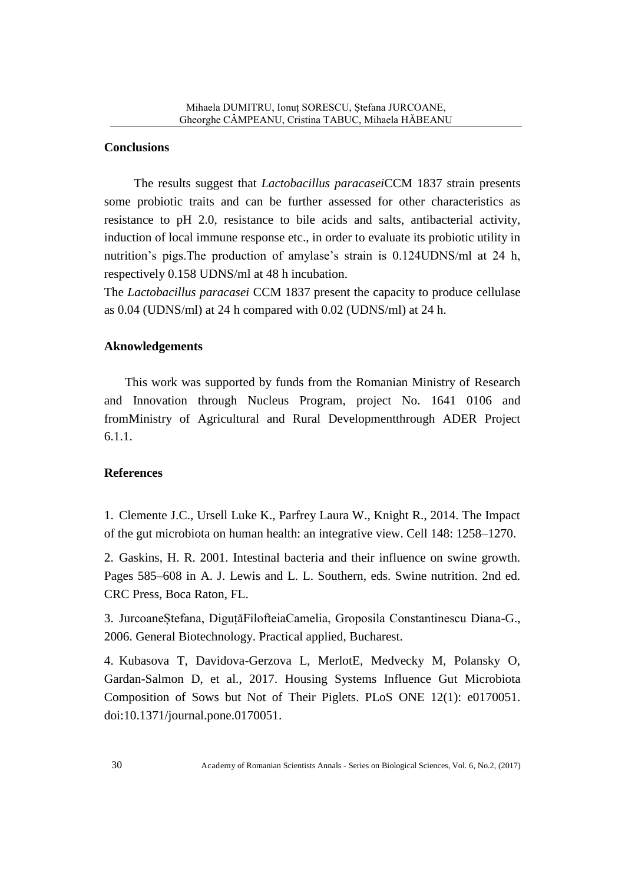#### **Conclusions**

The results suggest that *Lactobacillus paracasei*CCM 1837 strain presents some probiotic traits and can be further assessed for other characteristics as resistance to pH 2.0, resistance to bile acids and salts, antibacterial activity, induction of local immune response etc., in order to evaluate its probiotic utility in nutrition's pigs.The production of amylase's strain is 0.124UDNS/ml at 24 h, respectively 0.158 UDNS/ml at 48 h incubation.

The *Lactobacillus paracasei* CCM 1837 present the capacity to produce cellulase as 0.04 (UDNS/ml) at 24 h compared with 0.02 (UDNS/ml) at 24 h.

#### **Aknowledgements**

This work was supported by funds from the Romanian Ministry of Research and Innovation through Nucleus Program, project No. 1641 0106 and fromMinistry of Agricultural and Rural Developmentthrough ADER Project 6.1.1.

### **References**

1. Clemente J.C., Ursell Luke K., Parfrey Laura W., Knight R., 2014. The Impact of the gut microbiota on human health: an integrative view. Cell 148: 1258–1270.

2. Gaskins, H. R. 2001. Intestinal bacteria and their influence on swine growth. Pages 585–608 in A. J. Lewis and L. L. Southern, eds. Swine nutrition. 2nd ed. CRC Press, Boca Raton, FL.

3. JurcoaneȘtefana, DiguțăFilofteiaCamelia, Groposila Constantinescu Diana-G., 2006. General Biotechnology. Practical applied, Bucharest.

4. Kubasova T, Davidova-Gerzova L, MerlotE, Medvecky M, Polansky O, Gardan-Salmon D, et al., 2017. Housing Systems Influence Gut Microbiota Composition of Sows but Not of Their Piglets. PLoS ONE 12(1): e0170051. doi:10.1371/journal.pone.0170051.